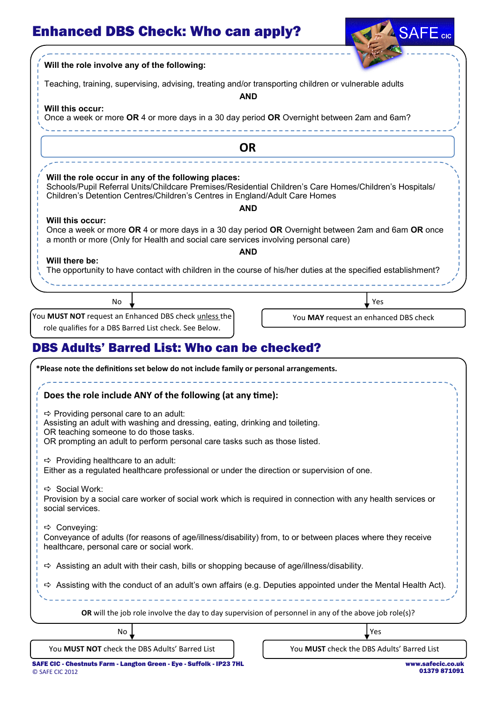| <b>Enhanced DBS Check: Who can apply?</b>                                                                                                                                                                                                     | <b>A SAFE</b> CIC                     |
|-----------------------------------------------------------------------------------------------------------------------------------------------------------------------------------------------------------------------------------------------|---------------------------------------|
| Will the role involve any of the following:                                                                                                                                                                                                   |                                       |
| Teaching, training, supervising, advising, treating and/or transporting children or vulnerable adults                                                                                                                                         | <b>AND</b>                            |
| Will this occur:<br>Once a week or more OR 4 or more days in a 30 day period OR Overnight between 2am and 6am?                                                                                                                                |                                       |
|                                                                                                                                                                                                                                               | <b>OR</b>                             |
|                                                                                                                                                                                                                                               |                                       |
| Will the role occur in any of the following places:<br>Schools/Pupil Referral Units/Childcare Premises/Residential Children's Care Homes/Children's Hospitals/<br>Children's Detention Centres/Children's Centres in England/Adult Care Homes | <b>AND</b>                            |
| Will this occur:                                                                                                                                                                                                                              |                                       |
| Once a week or more OR 4 or more days in a 30 day period OR Overnight between 2am and 6am OR once<br>a month or more (Only for Health and social care services involving personal care)                                                       |                                       |
| Will there be:                                                                                                                                                                                                                                | <b>AND</b>                            |
| The opportunity to have contact with children in the course of his/her duties at the specified establishment?                                                                                                                                 |                                       |
| No                                                                                                                                                                                                                                            | Yes                                   |
| You MUST NOT request an Enhanced DBS check unless the                                                                                                                                                                                         | You MAY request an enhanced DBS check |
| role qualifies for a DBS Barred List check. See Below.                                                                                                                                                                                        |                                       |
| <b>DBS Adults' Barred List: Who can be checked?</b>                                                                                                                                                                                           |                                       |
|                                                                                                                                                                                                                                               |                                       |
| *Please note the definitions set below do not include family or personal arrangements.                                                                                                                                                        |                                       |
| Does the role include ANY of the following (at any time):                                                                                                                                                                                     |                                       |
|                                                                                                                                                                                                                                               |                                       |
| $\Rightarrow$ Providing personal care to an adult:<br>Assisting an adult with washing and dressing, eating, drinking and toileting.                                                                                                           |                                       |
| OR teaching someone to do those tasks.                                                                                                                                                                                                        |                                       |
| OR prompting an adult to perform personal care tasks such as those listed.                                                                                                                                                                    |                                       |
| $\Rightarrow$ Providing healthcare to an adult:<br>Either as a regulated healthcare professional or under the direction or supervision of one.                                                                                                |                                       |
| Social Work:                                                                                                                                                                                                                                  |                                       |
| Provision by a social care worker of social work which is required in connection with any health services or<br>social services.                                                                                                              |                                       |
| → Conveying:<br>Conveyance of adults (for reasons of age/illness/disability) from, to or between places where they receive<br>healthcare, personal care or social work.                                                                       |                                       |
| $\Rightarrow$ Assisting an adult with their cash, bills or shopping because of age/illness/disability.                                                                                                                                        |                                       |
| $\Rightarrow$ Assisting with the conduct of an adult's own affairs (e.g. Deputies appointed under the Mental Health Act).                                                                                                                     |                                       |

**OR** will the job role involve the day to day supervision of personnel in any of the above job role(s)?

 $\Box$  Yes

You **MUST NOT** check the DBS Adults' Barred List | You **MUST** check the DBS Adults' Barred List

SAFE CIC - Chestnuts Farm - Langton Green - Eye - Suffolk - IP23 7HL © SAFE CIC 2012